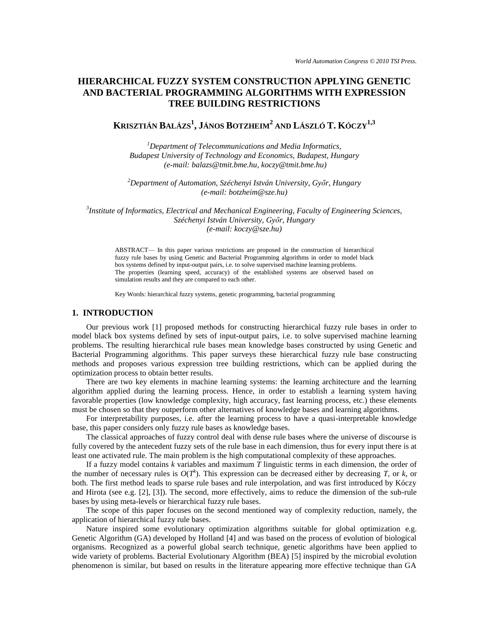## **HIERARCHICAL FUZZY SYSTEM CONSTRUCTION APPLYING GENETIC AND BACTERIAL PROGRAMMING ALGORITHMS WITH EXPRESSION TREE BUILDING RESTRICTIONS**

# **KRISZTIÁN BALÁZS<sup>1</sup> , JÁNOS BOTZHEIM<sup>2</sup> AND LÁSZLÓ T. KÓCZY1,3**

*<sup>1</sup>Department of Telecommunications and Media Informatics, Budapest University of Technology and Economics, Budapest, Hungary (e-mail: balazs@tmit.bme.hu, koczy@tmit.bme.hu)*

*<sup>2</sup>Department of Automation, Széchenyi István University, Győr, Hungary (e-mail: botzheim@sze.hu)*

*3 Institute of Informatics, Electrical and Mechanical Engineering, Faculty of Engineering Sciences, Széchenyi István University, Győr, Hungary (e-mail: koczy@sze.hu)*

ABSTRACT— In this paper various restrictions are proposed in the construction of hierarchical fuzzy rule bases by using Genetic and Bacterial Programming algorithms in order to model black box systems defined by input-output pairs, i.e. to solve supervised machine learning problems. The properties (learning speed, accuracy) of the established systems are observed based on simulation results and they are compared to each other.

Key Words: hierarchical fuzzy systems, genetic programming, bacterial programming

### **1. INTRODUCTION**

Our previous work [1] proposed methods for constructing hierarchical fuzzy rule bases in order to model black box systems defined by sets of input-output pairs, i.e. to solve supervised machine learning problems. The resulting hierarchical rule bases mean knowledge bases constructed by using Genetic and Bacterial Programming algorithms. This paper surveys these hierarchical fuzzy rule base constructing methods and proposes various expression tree building restrictions, which can be applied during the optimization process to obtain better results.

There are two key elements in machine learning systems: the learning architecture and the learning algorithm applied during the learning process. Hence, in order to establish a learning system having favorable properties (low knowledge complexity, high accuracy, fast learning process, etc.) these elements must be chosen so that they outperform other alternatives of knowledge bases and learning algorithms.

For interpretability purposes, i.e. after the learning process to have a quasi-interpretable knowledge base, this paper considers only fuzzy rule bases as knowledge bases.

The classical approaches of fuzzy control deal with dense rule bases where the universe of discourse is fully covered by the antecedent fuzzy sets of the rule base in each dimension, thus for every input there is at least one activated rule. The main problem is the high computational complexity of these approaches.

If a fuzzy model contains *k* variables and maximum *T* linguistic terms in each dimension, the order of the number of necessary rules is  $O(T^k)$ . This expression can be decreased either by decreasing *T*, or *k*, or both. The first method leads to sparse rule bases and rule interpolation, and was first introduced by Kóczy and Hirota (see e.g. [2], [3]). The second, more effectively, aims to reduce the dimension of the sub-rule bases by using meta-levels or hierarchical fuzzy rule bases.

The scope of this paper focuses on the second mentioned way of complexity reduction, namely, the application of hierarchical fuzzy rule bases.

Nature inspired some evolutionary optimization algorithms suitable for global optimization e.g. Genetic Algorithm (GA) developed by Holland [4] and was based on the process of evolution of biological organisms. Recognized as a powerful global search technique, genetic algorithms have been applied to wide variety of problems. Bacterial Evolutionary Algorithm (BEA) [5] inspired by the microbial evolution phenomenon is similar, but based on results in the literature appearing more effective technique than GA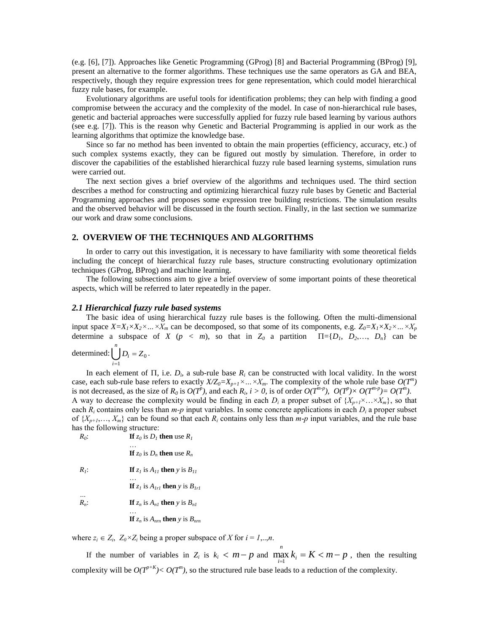(e.g. [6], [7]). Approaches like Genetic Programming (GProg) [8] and Bacterial Programming (BProg) [9], present an alternative to the former algorithms. These techniques use the same operators as GA and BEA, respectively, though they require expression trees for gene representation, which could model hierarchical fuzzy rule bases, for example.

Evolutionary algorithms are useful tools for identification problems; they can help with finding a good compromise between the accuracy and the complexity of the model. In case of non-hierarchical rule bases, genetic and bacterial approaches were successfully applied for fuzzy rule based learning by various authors (see e.g. [7]). This is the reason why Genetic and Bacterial Programming is applied in our work as the learning algorithms that optimize the knowledge base.

Since so far no method has been invented to obtain the main properties (efficiency, accuracy, etc.) of such complex systems exactly, they can be figured out mostly by simulation. Therefore, in order to discover the capabilities of the established hierarchical fuzzy rule based learning systems, simulation runs were carried out.

The next section gives a brief overview of the algorithms and techniques used. The third section describes a method for constructing and optimizing hierarchical fuzzy rule bases by Genetic and Bacterial Programming approaches and proposes some expression tree building restrictions. The simulation results and the observed behavior will be discussed in the fourth section. Finally, in the last section we summarize our work and draw some conclusions.

#### **2. OVERVIEW OF THE TECHNIQUES AND ALGORITHMS**

In order to carry out this investigation, it is necessary to have familiarity with some theoretical fields including the concept of hierarchical fuzzy rule bases, structure constructing evolutionary optimization techniques (GProg, BProg) and machine learning.

The following subsections aim to give a brief overview of some important points of these theoretical aspects, which will be referred to later repeatedly in the paper.

#### *2.1 Hierarchical fuzzy rule based systems*

The basic idea of using hierarchical fuzzy rule bases is the following. Often the multi-dimensional input space  $X = X_1 \times X_2 \times ... \times X_m$  can be decomposed, so that some of its components, e.g.  $Z_0 = X_1 \times X_2 \times ... \times X_p$ determine a subspace of *X* ( $p < m$ ), so that in  $Z_0$  a partition  $\Pi = \{D_1, D_2, \ldots, D_n\}$  can be

determined: 
$$
\bigcup_{i=1}^{n} D_i = Z_0.
$$

In each element of  $\Pi$ , i.e.  $D_i$ , a sub-rule base  $R_i$  can be constructed with local validity. In the worst case, each sub-rule base refers to exactly  $X/Z_0 = X_{p+1} \times ... \times X_m$ . The complexity of the whole rule base  $O(T^m)$ is not decreased, as the size of  $R_0$  is  $O(T^p)$ , and each  $R_i$ ,  $i > 0$ , is of order  $O(T^{m-p})$ ,  $O(T^p) \times O(T^{m-p}) = O(T^m)$ . A way to decrease the complexity would be finding in each  $D_i$  a proper subset of  $\{X_{n+1} \times \ldots \times X_m\}$ , so that each  $R_i$  contains only less than  $m-p$  input variables. In some concrete applications in each  $D_i$  a proper subset of  $\{X_{p+1},..., X_m\}$  can be found so that each  $R_i$  contains only less than  $m-p$  input variables, and the rule base has the following structure:

*R0*  $\mathbf{If } z_0$  is  $D_1$  then use  $R_1$ …

**If**  $z_0$  is  $D_n$  then use  $R_n$ 

 $R_i$ : : **If**  $z<sub>I</sub>$  is  $A<sub>II</sub>$  **then** *y* is  $B<sub>II</sub>$ …

**If**  $z_l$  is  $A_{1rl}$  **then**  $y$  is  $B_{1rl}$ 

*…*  $R_n$ : : **If**  $z_n$  is  $A_{n1}$  **then**  $y$  is  $B_{n1}$ …

**If** 
$$
z_n
$$
 is  $A_{nm}$  **then**  $y$  is  $B_{nm}$ 

where  $z_i \in Z_i$ ,  $Z_0 \times Z_i$  being a proper subspace of *X* for  $i = 1, \ldots, n$ .

If the number of variables in  $Z_i$  is  $k_i < m-p$  and  $\max_{i} k_i = K < m-p$  $\max_{i=1}^k k_i = K < m-p$ , then the resulting complexity will be  $O(T^{p+K}) < O(T^m)$ , so the structured rule base leads to a reduction of the complexity.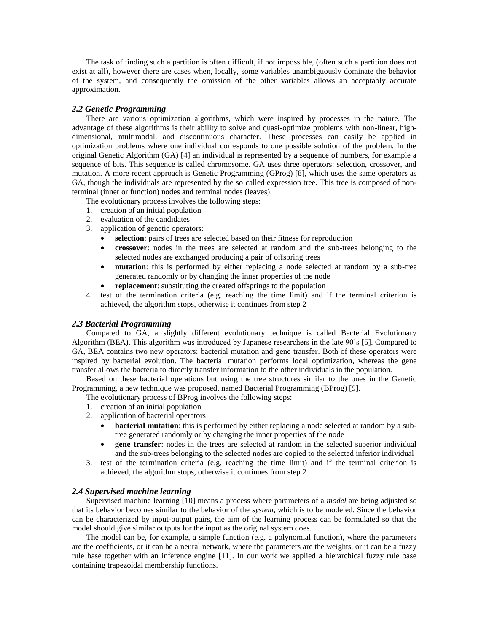The task of finding such a partition is often difficult, if not impossible, (often such a partition does not exist at all), however there are cases when, locally, some variables unambiguously dominate the behavior of the system, and consequently the omission of the other variables allows an acceptably accurate approximation.

#### *2.2 Genetic Programming*

There are various optimization algorithms, which were inspired by processes in the nature. The advantage of these algorithms is their ability to solve and quasi-optimize problems with non-linear, highdimensional, multimodal, and discontinuous character. These processes can easily be applied in optimization problems where one individual corresponds to one possible solution of the problem. In the original Genetic Algorithm (GA) [4] an individual is represented by a sequence of numbers, for example a sequence of bits. This sequence is called chromosome. GA uses three operators: selection, crossover, and mutation. A more recent approach is Genetic Programming (GProg) [8], which uses the same operators as GA, though the individuals are represented by the so called expression tree. This tree is composed of nonterminal (inner or function) nodes and terminal nodes (leaves).

The evolutionary process involves the following steps:

- 1. creation of an initial population
- 2. evaluation of the candidates
- 3. application of genetic operators:
	- **selection**: pairs of trees are selected based on their fitness for reproduction
	- **crossover**: nodes in the trees are selected at random and the sub-trees belonging to the selected nodes are exchanged producing a pair of offspring trees
	- **mutation**: this is performed by either replacing a node selected at random by a sub-tree generated randomly or by changing the inner properties of the node
	- **replacement**: substituting the created offsprings to the population
- 4. test of the termination criteria (e.g. reaching the time limit) and if the terminal criterion is achieved, the algorithm stops, otherwise it continues from step 2

#### *2.3 Bacterial Programming*

Compared to GA, a slightly different evolutionary technique is called Bacterial Evolutionary Algorithm (BEA). This algorithm was introduced by Japanese researchers in the late 90's [5]. Compared to GA, BEA contains two new operators: bacterial mutation and gene transfer. Both of these operators were inspired by bacterial evolution. The bacterial mutation performs local optimization, whereas the gene transfer allows the bacteria to directly transfer information to the other individuals in the population.

Based on these bacterial operations but using the tree structures similar to the ones in the Genetic Programming, a new technique was proposed, named Bacterial Programming (BProg) [9].

The evolutionary process of BProg involves the following steps:

- 1. creation of an initial population
- 2. application of bacterial operators:
	- **bacterial mutation**: this is performed by either replacing a node selected at random by a subtree generated randomly or by changing the inner properties of the node
	- **gene transfer**: nodes in the trees are selected at random in the selected superior individual and the sub-trees belonging to the selected nodes are copied to the selected inferior individual
- 3. test of the termination criteria (e.g. reaching the time limit) and if the terminal criterion is achieved, the algorithm stops, otherwise it continues from step 2

#### *2.4 Supervised machine learning*

Supervised machine learning [10] means a process where parameters of a *model* are being adjusted so that its behavior becomes similar to the behavior of the *system*, which is to be modeled. Since the behavior can be characterized by input-output pairs, the aim of the learning process can be formulated so that the model should give similar outputs for the input as the original system does.

The model can be, for example, a simple function (e.g. a polynomial function), where the parameters are the coefficients, or it can be a neural network, where the parameters are the weights, or it can be a fuzzy rule base together with an inference engine [11]. In our work we applied a hierarchical fuzzy rule base containing trapezoidal membership functions.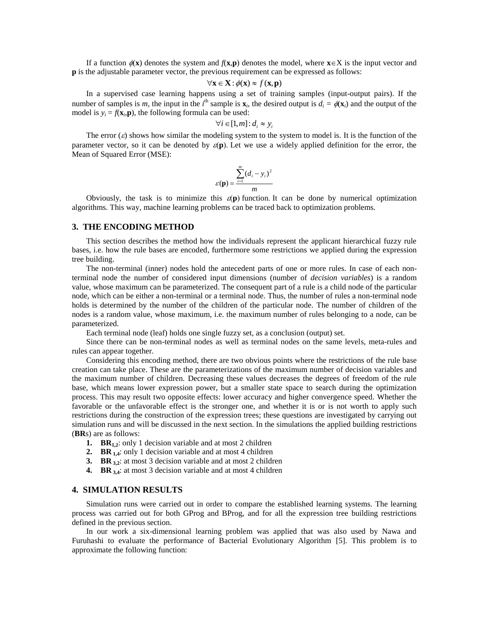If a function  $\phi(\mathbf{x})$  denotes the system and  $f(\mathbf{x}, \mathbf{p})$  denotes the model, where  $\mathbf{x} \in X$  is the input vector and **p** is the adjustable parameter vector, the previous requirement can be expressed as follows:

$$
\forall \mathbf{x} \in \mathbf{X} : \phi(\mathbf{x}) \approx f(\mathbf{x}, \mathbf{p})
$$

In a supervised case learning happens using a set of training samples (input-output pairs). If the number of samples is *m*, the input in the *i*<sup>th</sup> sample is  $\mathbf{x}_i$ , the desired output is  $d_i = \phi(\mathbf{x}_i)$  and the output of the model is  $y_i = f(\mathbf{x}_i, \mathbf{p})$ , the following formula can be used:

$$
\forall i \in [1, m] : d_i \approx y_i
$$

The error  $(\varepsilon)$  shows how similar the modeling system to the system to model is. It is the function of the parameter vector, so it can be denoted by  $\mathcal{E}(\mathbf{p})$ . Let we use a widely applied definition for the error, the Mean of Squared Error (MSE):

$$
\varepsilon(\mathbf{p}) = \frac{\sum_{i=1}^{m} (d_i - y_i)^2}{m}
$$

Obviously, the task is to minimize this  $\varepsilon(\mathbf{p})$  function. It can be done by numerical optimization algorithms. This way, machine learning problems can be traced back to optimization problems.

#### **3. THE ENCODING METHOD**

This section describes the method how the individuals represent the applicant hierarchical fuzzy rule bases, i.e. how the rule bases are encoded, furthermore some restrictions we applied during the expression tree building.

The non-terminal (inner) nodes hold the antecedent parts of one or more rules. In case of each nonterminal node the number of considered input dimensions (number of *decision variables*) is a random value, whose maximum can be parameterized. The consequent part of a rule is a child node of the particular node, which can be either a non-terminal or a terminal node. Thus, the number of rules a non-terminal node holds is determined by the number of the children of the particular node. The number of children of the nodes is a random value, whose maximum, i.e. the maximum number of rules belonging to a node, can be parameterized.

Each terminal node (leaf) holds one single fuzzy set, as a conclusion (output) set.

Since there can be non-terminal nodes as well as terminal nodes on the same levels, meta-rules and rules can appear together.

Considering this encoding method, there are two obvious points where the restrictions of the rule base creation can take place. These are the parameterizations of the maximum number of decision variables and the maximum number of children. Decreasing these values decreases the degrees of freedom of the rule base, which means lower expression power, but a smaller state space to search during the optimization process. This may result two opposite effects: lower accuracy and higher convergence speed. Whether the favorable or the unfavorable effect is the stronger one, and whether it is or is not worth to apply such restrictions during the construction of the expression trees; these questions are investigated by carrying out simulation runs and will be discussed in the next section. In the simulations the applied building restrictions (**BR**s) are as follows:

- **1. BR1,2**: only 1 decision variable and at most 2 children
- **2. BR 1,4**: only 1 decision variable and at most 4 children
- **3. BR 3,2**: at most 3 decision variable and at most 2 children
- **4. BR 3,4**: at most 3 decision variable and at most 4 children

#### **4. SIMULATION RESULTS**

Simulation runs were carried out in order to compare the established learning systems. The learning process was carried out for both GProg and BProg, and for all the expression tree building restrictions defined in the previous section.

In our work a six-dimensional learning problem was applied that was also used by Nawa and Furuhashi to evaluate the performance of Bacterial Evolutionary Algorithm [5]. This problem is to approximate the following function: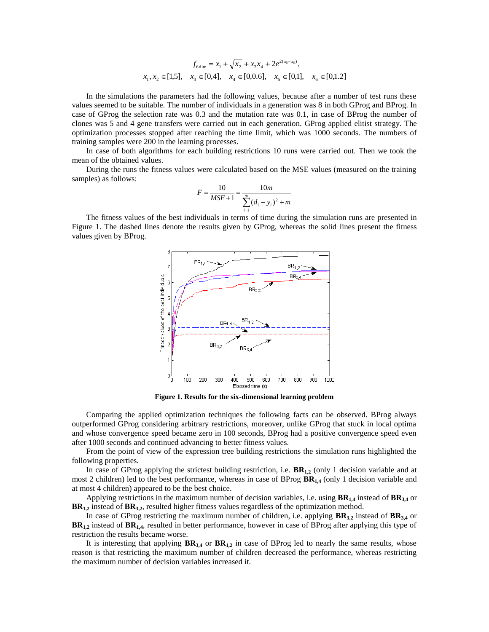$$
f_{6dim} = x_1 + \sqrt{x_2} + x_3 x_4 + 2e^{2(x_5 - x_6)},
$$
  

$$
x_1, x_2 \in [1,5], \quad x_3 \in [0,4], \quad x_4 \in [0,0.6], \quad x_5 \in [0,1], \quad x_6 \in [0,1.2]
$$

In the simulations the parameters had the following values, because after a number of test runs these values seemed to be suitable. The number of individuals in a generation was 8 in both GProg and BProg. In case of GProg the selection rate was 0.3 and the mutation rate was 0.1, in case of BProg the number of clones was 5 and 4 gene transfers were carried out in each generation. GProg applied elitist strategy. The optimization processes stopped after reaching the time limit, which was 1000 seconds. The numbers of training samples were 200 in the learning processes.

In case of both algorithms for each building restrictions 10 runs were carried out. Then we took the mean of the obtained values.

During the runs the fitness values were calculated based on the MSE values (measured on the training samples) as follows:

$$
F = \frac{10}{MSE + 1} = \frac{10m}{\sum_{i=1}^{m} (d_i - y_i)^2 + m}
$$

The fitness values of the best individuals in terms of time during the simulation runs are presented in Figure 1. The dashed lines denote the results given by GProg, whereas the solid lines present the fitness values given by BProg.



**Figure 1. Results for the six-dimensional learning problem**

Comparing the applied optimization techniques the following facts can be observed. BProg always outperformed GProg considering arbitrary restrictions, moreover, unlike GProg that stuck in local optima and whose convergence speed became zero in 100 seconds, BProg had a positive convergence speed even after 1000 seconds and continued advancing to better fitness values.

From the point of view of the expression tree building restrictions the simulation runs highlighted the following properties.

In case of GProg applying the strictest building restriction, i.e.  $BR_{1,2}$  (only 1 decision variable and at most 2 children) led to the best performance, whereas in case of BProg **BR1,4** (only 1 decision variable and at most 4 children) appeared to be the best choice.

Applying restrictions in the maximum number of decision variables, i.e. using **BR1,4** instead of **BR3,4** or **BR1,2** instead of **BR3,2**, resulted higher fitness values regardless of the optimization method.

In case of GProg restricting the maximum number of children, i.e. applying **BR3,2** instead of **BR3,4** or **BR1,2** instead of **BR1,4**, resulted in better performance, however in case of BProg after applying this type of restriction the results became worse.

It is interesting that applying **BR3,4** or **BR1,2** in case of BProg led to nearly the same results, whose reason is that restricting the maximum number of children decreased the performance, whereas restricting the maximum number of decision variables increased it.